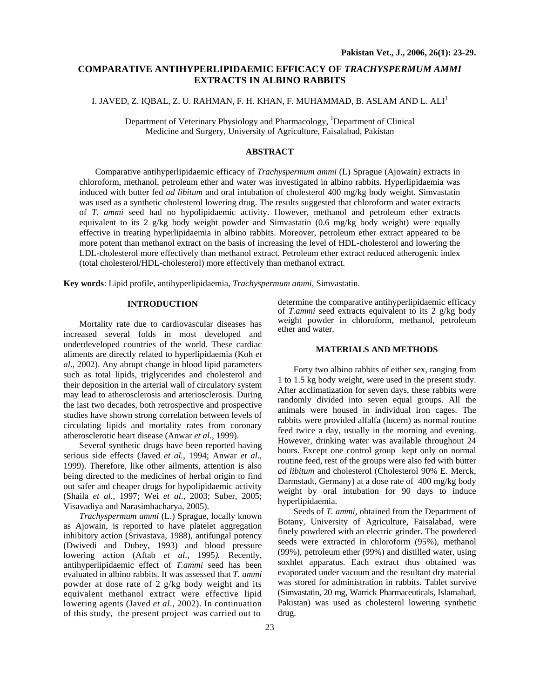## **COMPARATIVE ANTIHYPERLIPIDAEMIC EFFICACY OF** *TRACHYSPERMUM AMMI* **EXTRACTS IN ALBINO RABBITS**

# I. JAVED, Z. IQBAL, Z. U. RAHMAN, F. H. KHAN, F. MUHAMMAD, B. ASLAM AND L. ALI<sup>1</sup>

Department of Veterinary Physiology and Pharmacology, <sup>1</sup>Department of Clinical Medicine and Surgery, University of Agriculture, Faisalabad, Pakistan

## **ABSTRACT**

Comparative antihyperlipidaemic efficacy of *Trachyspermum ammi* (L) Sprague (Ajowain*)* extracts in chloroform, methanol, petroleum ether and water was investigated in albino rabbits. Hyperlipidaemia was induced with butter fed *ad libitum* and oral intubation of cholesterol 400 mg/kg body weight. Simvastatin was used as a synthetic cholesterol lowering drug. The results suggested that chloroform and water extracts of *T. ammi* seed had no hypolipidaemic activity. However, methanol and petroleum ether extracts equivalent to its 2 g/kg body weight powder and Simvastatin (0.6 mg/kg body weight) were equally effective in treating hyperlipidaemia in albino rabbits. Moreover, petroleum ether extract appeared to be more potent than methanol extract on the basis of increasing the level of HDL-cholesterol and lowering the LDL-cholesterol more effectively than methanol extract. Petroleum ether extract reduced atherogenic index (total cholesterol/HDL-cholesterol) more effectively than methanol extract.

**Key words**: Lipid profile, antihyperlipidaemia, *Trachyspermum ammi,* Simvastatin.

#### **INTRODUCTION**

Mortality rate due to cardiovascular diseases has increased several folds in most developed and underdeveloped countries of the world. These cardiac aliments are directly related to hyperlipidaemia (Koh *et al*., 2002). Any abrupt change in blood lipid parameters such as total lipids, triglycerides and cholesterol and their deposition in the arterial wall of circulatory system may lead to atherosclerosis and arteriosclerosis. During the last two decades, both retrospective and prospective studies have shown strong correlation between levels of circulating lipids and mortality rates from coronary atherosclerotic heart disease (Anwar *et al*., 1999).

Several synthetic drugs have been reported having serious side effects (Javed *et al.*, 1994; Anwar *et al*., 1999). Therefore, like other ailments, attention is also being directed to the medicines of herbal origin to find out safer and cheaper drugs for hypolipidaemic activity (Shaila *et al.,* 1997; Wei *et al*., 2003; Suber, 2005; Visavadiya and Narasimhacharya, 2005).

*Trachyspermum ammi* (L.) Sprague, locally known as Ajowain, is reported to have platelet aggregation inhibitory action (Srivastava, 1988), antifungal potency (Dwivedi and Dubey, 1993) and blood pressure lowering action (Aftab *et al*., 1995*).* Recently, antihyperlipidaemic effect of *T.ammi* seed has been evaluated in albino rabbits. It was assessed that *T. ammi* powder at dose rate of 2 g/kg body weight and its equivalent methanol extract were effective lipid lowering agents (Javed *et al*., 2002). In continuation of this study, the present project was carried out to

determine the comparative antihyperlipidaemic efficacy of *T.ammi* seed extracts equivalent to its 2 g/kg body weight powder in chloroform, methanol, petroleum ether and water.

## **MATERIALS AND METHODS**

Forty two albino rabbits of either sex, ranging from 1 to 1.5 kg body weight, were used in the present study. After acclimatization for seven days, these rabbits were randomly divided into seven equal groups. All the animals were housed in individual iron cages. The rabbits were provided alfalfa (lucern) as normal routine feed twice a day, usually in the morning and evening. However, drinking water was available throughout 24 hours. Except one control group kept only on normal routine feed, rest of the groups were also fed with butter *ad libitum* and cholesterol (Cholesterol 90% E. Merck, Darmstadt, Germany) at a dose rate of 400 mg/kg body weight by oral intubation for 90 days to induce hyperlipidaemia.

Seeds of *T. ammi,* obtained from the Department of Botany*,* University of Agriculture, Faisalabad, were finely powdered with an electric grinder. The powdered seeds were extracted in chloroform (95%), methanol (99%), petroleum ether (99%) and distilled water, using soxhlet apparatus. Each extract thus obtained was evaporated under vacuum and the resultant dry material was stored for administration in rabbits. Tablet survive (Simvastatin, 20 mg, Warrick Pharmaceuticals, Islamabad, Pakistan) was used as cholesterol lowering synthetic drug.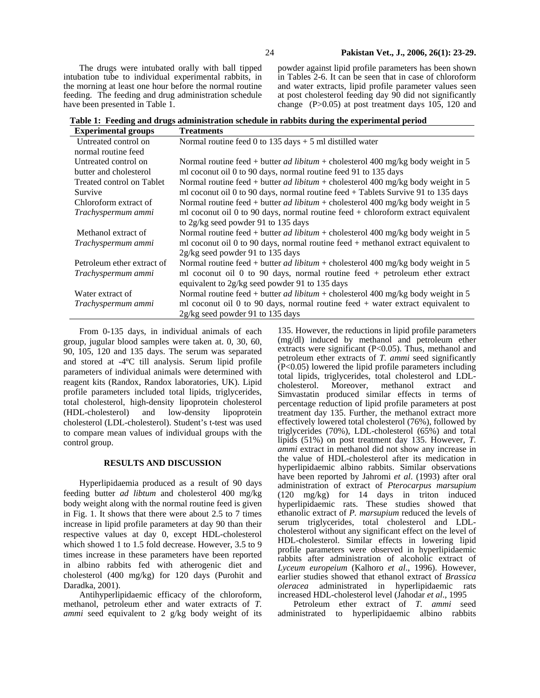The drugs were intubated orally with ball tipped intubation tube to individual experimental rabbits, in the morning at least one hour before the normal routine feeding. The feeding and drug administration schedule have been presented in Table 1.

powder against lipid profile parameters has been shown in Tables 2-6. It can be seen that in case of chloroform and water extracts, lipid profile parameter values seen at post cholesterol feeding day 90 did not significantly change (P>0.05) at post treatment days 105, 120 and

**Table 1: Feeding and drugs administration schedule in rabbits during the experimental period** 

| <b>Experimental groups</b> | <b>Treatments</b>                                                                       |
|----------------------------|-----------------------------------------------------------------------------------------|
| Untreated control on       | Normal routine feed 0 to 135 days $+$ 5 ml distilled water                              |
| normal routine feed        |                                                                                         |
| Untreated control on       | Normal routine feed + butter <i>ad libitum</i> + cholesterol 400 mg/kg body weight in 5 |
| butter and cholesterol     | ml coconut oil 0 to 90 days, normal routine feed 91 to 135 days                         |
| Treated control on Tablet  | Normal routine feed + butter <i>ad libitum</i> + cholesterol 400 mg/kg body weight in 5 |
| Survive                    | ml coconut oil 0 to 90 days, normal routine feed $+$ Tablets Survive 91 to 135 days     |
| Chloroform extract of      | Normal routine feed + butter <i>ad libitum</i> + cholesterol 400 mg/kg body weight in 5 |
| Trachyspermum ammi         | ml coconut oil 0 to 90 days, normal routine feed $+$ chloroform extract equivalent      |
|                            | to 2g/kg seed powder 91 to 135 days                                                     |
| Methanol extract of        | Normal routine feed + butter <i>ad libitum</i> + cholesterol 400 mg/kg body weight in 5 |
| Trachyspermum ammi         | ml coconut oil $0$ to $90$ days, normal routine feed + methanol extract equivalent to   |
|                            | $2g/kg$ seed powder 91 to 135 days                                                      |
| Petroleum ether extract of | Normal routine feed + butter <i>ad libitum</i> + cholesterol 400 mg/kg body weight in 5 |
| Trachyspermum ammi         | ml coconut oil 0 to 90 days, normal routine feed $+$ petroleum ether extract            |
|                            | equivalent to 2g/kg seed powder 91 to 135 days                                          |
| Water extract of           | Normal routine feed + butter <i>ad libitum</i> + cholesterol 400 mg/kg body weight in 5 |
| Trachyspermum ammi         | ml coconut oil 0 to 90 days, normal routine feed $+$ water extract equivalent to        |
|                            | 2g/kg seed powder 91 to 135 days                                                        |

From 0-135 days, in individual animals of each group, jugular blood samples were taken at. 0, 30, 60, 90, 105, 120 and 135 days. The serum was separated and stored at -4ºC till analysis. Serum lipid profile parameters of individual animals were determined with reagent kits (Randox, Randox laboratories, UK). Lipid profile parameters included total lipids, triglycerides, total cholesterol, high-density lipoprotein cholesterol (HDL-cholesterol) and low-density lipoprotein cholesterol (LDL-cholesterol). Student's t-test was used to compare mean values of individual groups with the control group.

### **RESULTS AND DISCUSSION**

Hyperlipidaemia produced as a result of 90 days feeding butter *ad libtum* and cholesterol 400 mg/kg body weight along with the normal routine feed is given in Fig. 1. It shows that there were about 2.5 to 7 times increase in lipid profile parameters at day 90 than their respective values at day 0, except HDL-cholesterol which showed 1 to 1.5 fold decrease. However, 3.5 to 9 times increase in these parameters have been reported in albino rabbits fed with atherogenic diet and cholesterol (400 mg/kg) for 120 days (Purohit and Daradka, 2001).

Antihyperlipidaemic efficacy of the chloroform, methanol, petroleum ether and water extracts of *T. ammi* seed equivalent to 2 g/kg body weight of its

135. However, the reductions in lipid profile parameters (mg/dl) induced by methanol and petroleum ether extracts were significant (P<0.05). Thus, methanol and petroleum ether extracts of *T. ammi* seed significantly (P<0.05) lowered the lipid profile parameters including total lipids, triglycerides, total cholesterol and LDLcholesterol. Moreover, methanol extract and Simvastatin produced similar effects in terms of percentage reduction of lipid profile parameters at post treatment day 135. Further, the methanol extract more effectively lowered total cholesterol (76%), followed by triglycerides (70%), LDL-cholesterol (65%) and total lipids (51%) on post treatment day 135. However, *T. ammi* extract in methanol did not show any increase in the value of HDL-cholesterol after its medication in hyperlipidaemic albino rabbits. Similar observations have been reported by Jahromi *et al*. (1993) after oral administration of extract of *Pterocarpus marsupium* (120 mg/kg) for 14 days in triton induced hyperlipidaemic rats. These studies showed that ethanolic extract of *P. marsupium* reduced the levels of serum triglycerides, total cholesterol and LDLcholesterol without any significant effect on the level of HDL-cholesterol. Similar effects in lowering lipid profile parameters were observed in hyperlipidaemic rabbits after administration of alcoholic extract of *Lyceum europeium* (Kalhoro *et al*., 1996). However, earlier studies showed that ethanol extract of *Brassica oleracea* administrated in hyperlipidaemic rats increased HDL-cholesterol level (Jahodar *et al*., 1995

Petroleum ether extract of *T. ammi* seed administrated to hyperlipidaemic albino rabbits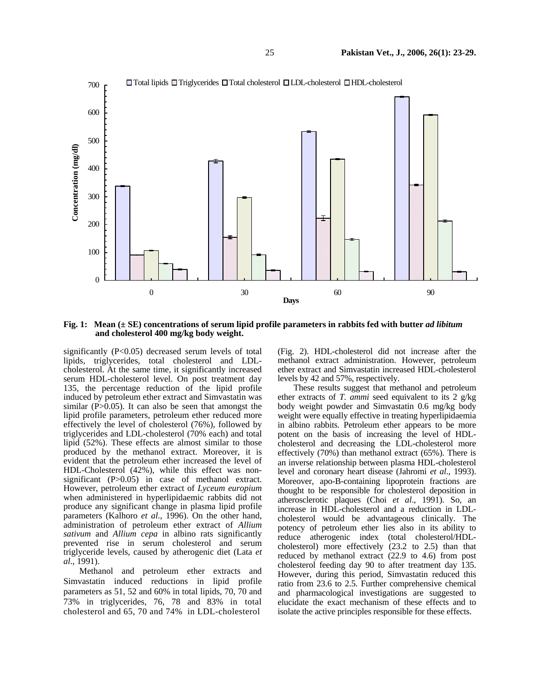

**■Total lipids ■Triglycerides ■Total cholesterol ■LDL-cholesterol ■HDL-cholesterol** 

**Fig. 1: Mean (± SE) concentrations of serum lipid profile parameters in rabbits fed with butter** *ad libitum*  **and cholesterol 400 mg/kg body weight.** 

significantly (P<0.05) decreased serum levels of total lipids, triglycerides, total cholesterol and LDLcholesterol. At the same time, it significantly increased serum HDL-cholesterol level. On post treatment day 135, the percentage reduction of the lipid profile induced by petroleum ether extract and Simvastatin was similar (P>0.05). It can also be seen that amongst the lipid profile parameters, petroleum ether reduced more effectively the level of cholesterol (76%), followed by triglycerides and LDL-cholesterol (70% each) and total lipid (52%). These effects are almost similar to those produced by the methanol extract. Moreover, it is evident that the petroleum ether increased the level of HDL-Cholesterol (42%), while this effect was nonsignificant (P>0.05) in case of methanol extract. However, petroleum ether extract of *Lyceum europium* when administered in hyperlipidaemic rabbits did not produce any significant change in plasma lipid profile parameters (Kalhoro *et al*., 1996). On the other hand, administration of petroleum ether extract of *Allium sativum* and *Allium cepa* in albino rats significantly prevented rise in serum cholesterol and serum triglyceride levels, caused by atherogenic diet (Lata *et al*., 1991).

Methanol and petroleum ether extracts and Simvastatin induced reductions in lipid profile parameters as 51, 52 and 60% in total lipids, 70, 70 and 73% in triglycerides, 76, 78 and 83% in total cholesterol and 65, 70 and 74% in LDL-cholesterol

(Fig. 2). HDL-cholesterol did not increase after the methanol extract administration. However, petroleum ether extract and Simvastatin increased HDL-cholesterol levels by 42 and 57%, respectively.

These results suggest that methanol and petroleum ether extracts of *T. ammi* seed equivalent to its 2 g/kg body weight powder and Simvastatin 0.6 mg/kg body weight were equally effective in treating hyperlipidaemia in albino rabbits. Petroleum ether appears to be more potent on the basis of increasing the level of HDLcholesterol and decreasing the LDL-cholesterol more effectively (70%) than methanol extract (65%). There is an inverse relationship between plasma HDL-cholesterol level and coronary heart disease (Jahromi *et al*., 1993). Moreover, apo-B-containing lipoprotein fractions are thought to be responsible for cholesterol deposition in atherosclerotic plaques (Choi *et al*., 1991). So, an increase in HDL-cholesterol and a reduction in LDLcholesterol would be advantageous clinically. The potency of petroleum ether lies also in its ability to reduce atherogenic index (total cholesterol/HDLcholesterol) more effectively (23.2 to 2.5) than that reduced by methanol extract (22.9 to 4.6) from post cholesterol feeding day 90 to after treatment day 135. However, during this period, Simvastatin reduced this ratio from 23.6 to 2.5. Further comprehensive chemical and pharmacological investigations are suggested to elucidate the exact mechanism of these effects and to isolate the active principles responsible for these effects.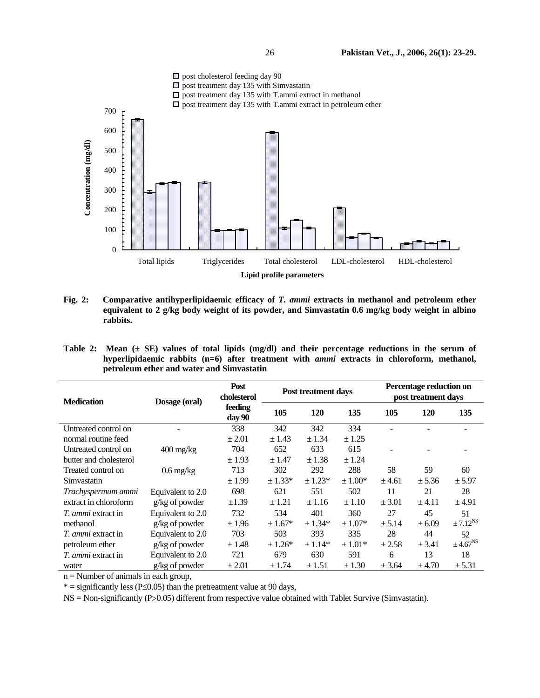

- **Fig. 2: Comparative antihyperlipidaemic efficacy of** *T. ammi* **extracts in methanol and petroleum ether equivalent to 2 g/kg body weight of its powder, and Simvastatin 0.6 mg/kg body weight in albino rabbits.**
- **Table 2: Mean (± SE) values of total lipids (mg/dl) and their percentage reductions in the serum of hyperlipidaemic rabbits (n=6) after treatment with** *ammi* **extracts in chloroform, methanol, petroleum ether and water and Simvastatin**

| <b>Medication</b>         | Dosage (oral)                     | Post<br>cholesterol<br>feeding<br>day 90 | Post treatment days |           |             | Percentage reduction on<br>post treatment days |        |                 |
|---------------------------|-----------------------------------|------------------------------------------|---------------------|-----------|-------------|------------------------------------------------|--------|-----------------|
|                           |                                   |                                          | 105                 | 120       | 135         | 105                                            | 120    | 135             |
| Untreated control on      |                                   | 338                                      | 342                 | 342       | 334         |                                                |        |                 |
| normal routine feed       |                                   | $\pm 2.01$                               | ± 1.43              | ± 1.34    | ± 1.25      |                                                |        |                 |
| Untreated control on      | $400 \frac{\text{mg}}{\text{kg}}$ | 704                                      | 652                 | 633       | 615         |                                                |        |                 |
| butter and cholesterol    |                                   | ±1.93                                    | ± 1.47              | ±1.38     | ± 1.24      |                                                |        |                 |
| Treated control on        | $0.6 \,\mathrm{mg/kg}$            | 713                                      | 302                 | 292       | 288         | 58                                             | 59     | 60              |
| Simvastatin               |                                   | ±1.99                                    | $± 1.33*$           | $± 1.23*$ | $± 1.00*$   | ± 4.61                                         | ± 5.36 | ± 5.97          |
| Trachyspermum ammi        | Equivalent to 2.0                 | 698                                      | 621                 | 551       | 502         | 11                                             | 21     | 28              |
| extract in chloroform     | g/kg of powder                    | $\pm 1.39$                               | $\pm 1.21$          | ± 1.16    | $\pm 1.10$  | $\pm 3.01$                                     | ± 4.11 | ±4.91           |
| <i>T. ammi</i> extract in | Equivalent to 2.0                 | 732                                      | 534                 | 401       | 360         | 27                                             | 45     | 51              |
| methanol                  | g/kg of powder                    | ±1.96                                    | $± 1.67*$           | $± 1.34*$ | $± 1.07*$   | ± 5.14                                         | ± 6.09 | $\pm 7.12^{NS}$ |
| <i>T. ammi</i> extract in | Equivalent to 2.0                 | 703                                      | 503                 | 393       | 335         | 28                                             | 44     | 52              |
| petroleum ether           | g/kg of powder                    | ± 1.48                                   | $± 1.26*$           | $± 1.14*$ | $\pm 1.01*$ | $+2.58$                                        | ± 3.41 | $\pm 4.67^{NS}$ |
| <i>T. ammi</i> extract in | Equivalent to 2.0                 | 721                                      | 679                 | 630       | 591         | 6                                              | 13     | 18              |
| water                     | g/kg of powder                    | $\pm 2.01$                               | ± 1.74              | ± 1.51    | $\pm 1.30$  | ± 3.64                                         | ± 4.70 | ± 5.31          |

n = Number of animals in each group,

 $*$  = significantly less (P≤0.05) than the pretreatment value at 90 days,

NS = Non-significantly (P>0.05) different from respective value obtained with Tablet Survive (Simvastatin).